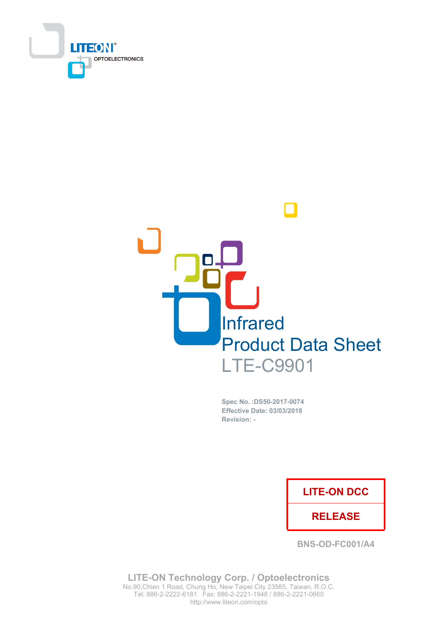



Spec No. : DS50-2017-0074 **Effective Date: 03/03/2018** Revision: -

## **LITE-ON DCC**

## **RELEASE**

BNS-OD-FC001/A4

**LITE-ON Technology Corp. / Optoelectronics** No.90, Chien 1 Road, Chung Ho, New Taipei City 23585, Taiwan, R.O.C. http://www.liteon.com/opto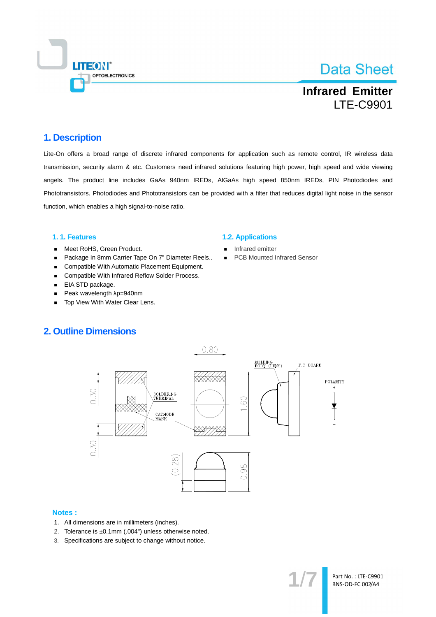

**Infrared Emitter LTE-C9901** 

### 1. Description

Lite-On offers a broad range of discrete infrared components for application such as remote control, IR wireless data transmission, security alarm & etc. Customers need infrared solutions featuring high power, high speed and wide viewing angels. The product line includes GaAs 940nm IREDs, AIGaAs high speed 850nm IREDs, PIN Photodiodes and Phototransistors. Photodiodes and Phototransistors can be provided with a filter that reduces digital light noise in the sensor function, which enables a high signal-to-noise ratio.

#### 1.1. Features

- Meet RoHS, Green Product.  $\blacksquare$
- Package In 8mm Carrier Tape On 7" Diameter Reels..  $\blacksquare$
- Compatible With Automatic Placement Equipment.  $\blacksquare$
- Compatible With Infrared Reflow Solder Process.  $\blacksquare$
- EIA STD package.  $\blacksquare$
- Peak wavelength  $\lambda$ p=940nm  $\blacksquare$
- Top View With Water Clear Lens.

#### **1.2. Applications**

- Infrared emitter
- **PCB Mounted Infrared Sensor**  $\blacksquare$

### **2. Outline Dimensions**



#### **Notes:**

- 1. All dimensions are in millimeters (inches).
- 2. Tolerance is ±0.1mm (.004") unless otherwise noted.
- 3. Specifications are subject to change without notice.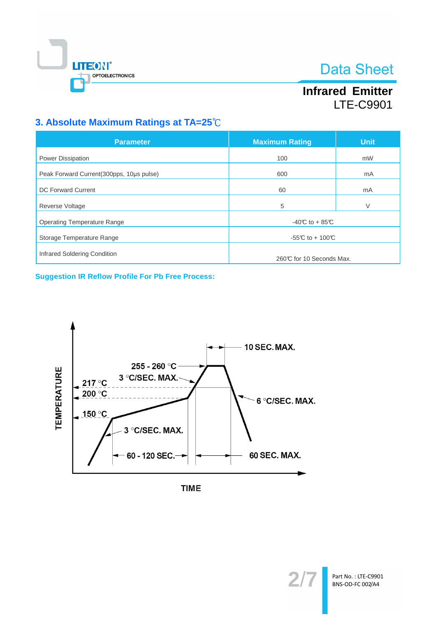

# **Infrared Emitter LTE-C9901**

## 3. Absolute Maximum Ratings at TA=25°C

| <b>Parameter</b>                          | <b>Maximum Rating</b>    | <b>Unit</b> |  |
|-------------------------------------------|--------------------------|-------------|--|
| Power Dissipation                         | 100                      | mW          |  |
| Peak Forward Current (300pps, 10us pulse) | 600                      | mA          |  |
| <b>DC Forward Current</b>                 | 60                       | mA          |  |
| Reverse Voltage                           | 5                        | V           |  |
| <b>Operating Temperature Range</b>        | $-40C$ to + 85°C         |             |  |
| Storage Temperature Range                 | -55°C to + 100°C         |             |  |
| Infrared Soldering Condition              | 260℃ for 10 Seconds Max. |             |  |

**Suggestion IR Reflow Profile For Pb Free Process:** 



**TIME** 

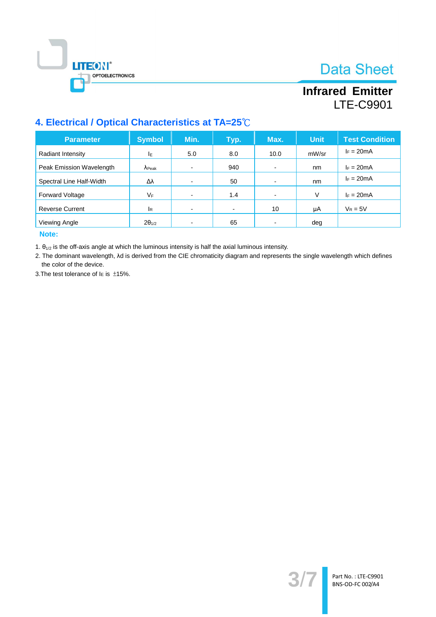



# **Infrared Emitter LTE-C9901**

## 4. Electrical / Optical Characteristics at TA=25°C

| <b>Parameter</b>         | <b>Symbol</b>   | Min. | Typ.           | Max.                     | <b>Unit</b> | <b>Test Condition</b> |
|--------------------------|-----------------|------|----------------|--------------------------|-------------|-----------------------|
| Radiant Intensity        | ΙE              | 5.0  | 8.0            | 10.0                     | mW/sr       | $I_F = 20mA$          |
| Peak Emission Wavelength | $\lambda$ Peak  |      | 940            | $\overline{\phantom{0}}$ | nm          | $I_F = 20mA$          |
| Spectral Line Half-Width | Δλ              |      | 50             | $\overline{\phantom{0}}$ | nm          | $I_F = 20mA$          |
| <b>Forward Voltage</b>   | VF              |      | 1.4            |                          | V           | $I_F = 20mA$          |
| <b>Reverse Current</b>   | <b>I</b> R      |      | $\blacksquare$ | 10                       | μA          | $V_R = 5V$            |
| Viewing Angle            | $2\theta_{1/2}$ |      | 65             |                          | deg         |                       |

Note:

1.  $\theta_{1/2}$  is the off-axis angle at which the luminous intensity is half the axial luminous intensity.

2. The dominant wavelength, Ad is derived from the CIE chromaticity diagram and represents the single wavelength which defines the color of the device.

3. The test tolerance of  $I\in$  is  $\pm$ 15%.

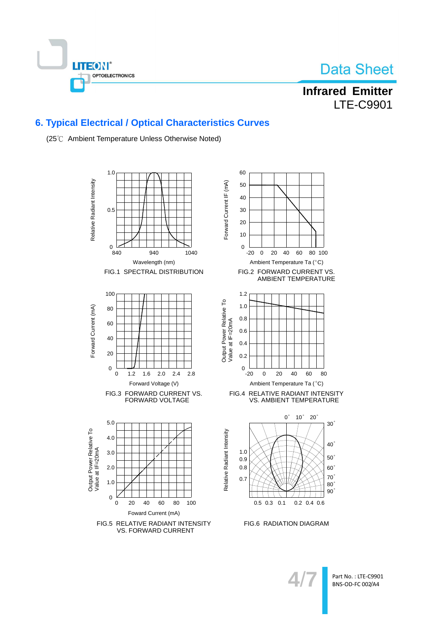



**Infrared Emitter LTE-C9901** 

## **6. Typical Electrical / Optical Characteristics Curves**

(25°C Ambient Temperature Unless Otherwise Noted)



Part No.: LTE-C9901 BNS-OD-FC 002/A4

80

 $30<sup>°</sup>$ 

 $40<sup>°</sup>$ 

 $50^\circ$ 

 $60^\circ$ 

 $70^\circ$ 

 $80°$  $90°$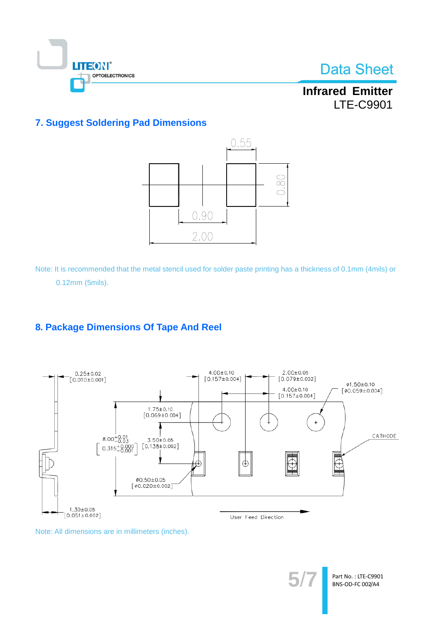

**Infrared Emitter LTE-C9901** 

## **7. Suggest Soldering Pad Dimensions**



Note: It is recommended that the metal stencil used for solder paste printing has a thickness of 0.1mm (4mils) or 0.12mm (5mils).

## 8. Package Dimensions Of Tape And Reel



Note: All dimensions are in millimeters (inches).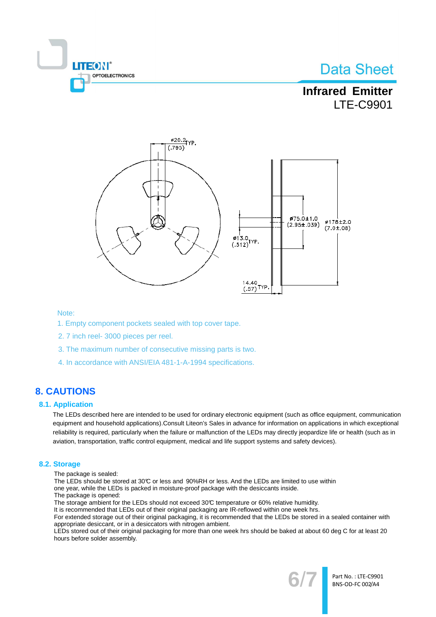

## **Infrared Emitter LTE-C9901**



#### Note:

- 1. Empty component pockets sealed with top cover tape.
- 2.7 inch reel- 3000 pieces per reel.
- 3. The maximum number of consecutive missing parts is two.
- 4. In accordance with ANSI/EIA 481-1-A-1994 specifications.

## **8. CAUTIONS**

#### **8.1. Application**

The LEDs described here are intended to be used for ordinary electronic equipment (such as office equipment, communication equipment and household applications). Consult Liteon's Sales in advance for information on applications in which exceptional reliability is required, particularly when the failure or malfunction of the LEDs may directly jeopardize life or health (such as in aviation, transportation, traffic control equipment, medical and life support systems and safety devices).

#### 8.2. Storage

- The package is sealed:
- The LEDs should be stored at 30℃ or less and 90%RH or less. And the LEDs are limited to use within
- one year, while the LEDs is packed in moisture-proof package with the desiccants inside.
- The package is opened:
- The storage ambient for the LEDs should not exceed 30°C temperature or 60% relative humidity.

It is recommended that LEDs out of their original packaging are IR-reflowed within one week hrs. For extended storage out of their original packaging, it is recommended that the LEDs be stored in a sealed container with

appropriate desiccant, or in a desiccators with nitrogen ambient.

LEDs stored out of their original packaging for more than one week hrs should be baked at about 60 deg C for at least 20 hours before solder assembly.